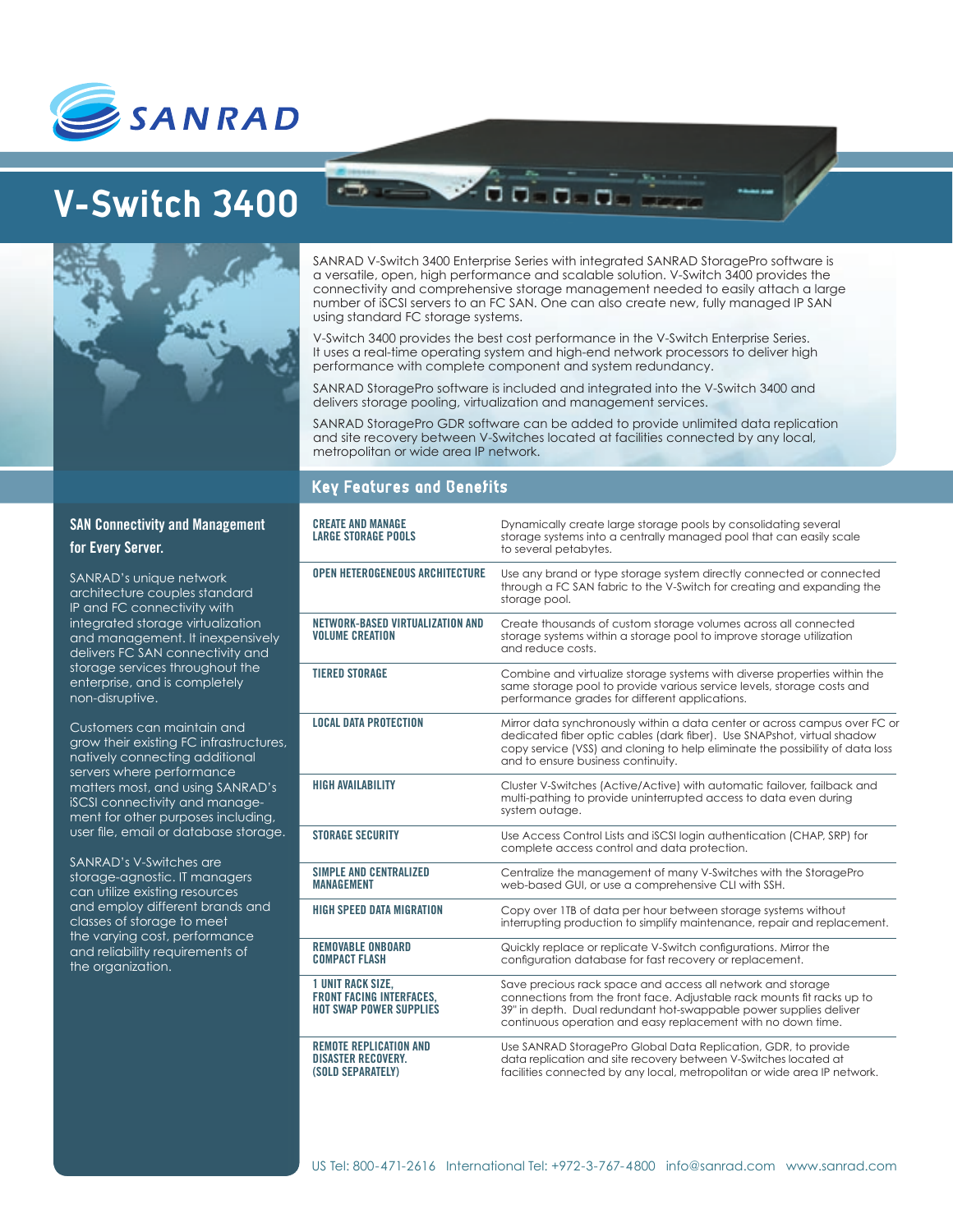

# **V-Switch 3400**



SANRAD V-Switch 3400 Enterprise Series with integrated SANRAD StoragePro software is a versatile, open, high performance and scalable solution. V-Switch 3400 provides the connectivity and comprehensive storage management needed to easily attach a large number of iSCSI servers to an FC SAN. One can also create new, fully managed IP SAN using standard FC storage systems.

V-Switch 3400 provides the best cost performance in the V-Switch Enterprise Series. It uses a real-time operating system and high-end network processors to deliver high performance with complete component and system redundancy.

00 0 0 0

SANRAD StoragePro software is included and integrated into the V-Switch 3400 and delivers storage pooling, virtualization and management services.

SANRAD StoragePro GDR software can be added to provide unlimited data replication and site recovery between V-Switches located at facilities connected by any local, metropolitan or wide area IP network.

## **Key Features and Benefits**

| <b>CREATE AND MANAGE</b><br><b>LARGE STORAGE POOLS</b>                                        | Dynamically create large storage pools by consolidating several<br>storage systems into a centrally managed pool that can easily scale                                                                                                                                       |
|-----------------------------------------------------------------------------------------------|------------------------------------------------------------------------------------------------------------------------------------------------------------------------------------------------------------------------------------------------------------------------------|
|                                                                                               | to several petabytes.                                                                                                                                                                                                                                                        |
| <b>OPEN HETEROGENEOUS ARCHITECTURE</b>                                                        | Use any brand or type storage system directly connected or connected<br>through a FC SAN fabric to the V-Switch for creating and expanding the<br>storage pool.                                                                                                              |
| NETWORK-BASED VIRTUALIZATION AND<br><b>VOLUME CREATION</b>                                    | Create thousands of custom storage volumes across all connected<br>storage systems within a storage pool to improve storage utilization<br>and reduce costs.                                                                                                                 |
| <b>TIERED STORAGE</b>                                                                         | Combine and virtualize storage systems with diverse properties within the<br>same storage pool to provide various service levels, storage costs and<br>performance grades for different applications.                                                                        |
| <b>LOCAL DATA PROTECTION</b>                                                                  | Mirror data synchronously within a data center or across campus over FC or<br>dedicated fiber optic cables (dark fiber). Use SNAPshot, virtual shadow<br>copy service (VSS) and cloning to help eliminate the possibility of data loss<br>and to ensure business continuity. |
| <b>HIGH AVAILABILITY</b>                                                                      | Cluster V-Switches (Active/Active) with automatic failover, failback and<br>multi-pathing to provide uninterrupted access to data even during<br>system outage.                                                                                                              |
| <b>STORAGE SECURITY</b>                                                                       | Use Access Control Lists and iSCSI login authentication (CHAP, SRP) for<br>complete access control and data protection.                                                                                                                                                      |
| <b>SIMPLE AND CENTRALIZED</b><br><b>MANAGEMENT</b>                                            | Centralize the management of many V-Switches with the StoragePro<br>web-based GUI, or use a comprehensive CLI with SSH.                                                                                                                                                      |
| <b>HIGH SPEED DATA MIGRATION</b>                                                              | Copy over 1TB of data per hour between storage systems without<br>interrupting production to simplify maintenance, repair and replacement.                                                                                                                                   |
| <b>REMOVABLE ONBOARD</b><br><b>COMPACT FLASH</b>                                              | Quickly replace or replicate V-Switch configurations. Mirror the<br>configuration database for fast recovery or replacement.                                                                                                                                                 |
| <b>1 UNIT RACK SIZE.</b><br><b>FRONT FACING INTERFACES.</b><br><b>HOT SWAP POWER SUPPLIES</b> | Save precious rack space and access all network and storage<br>connections from the front face. Adjustable rack mounts fit racks up to<br>39" in depth. Dual redundant hot-swappable power supplies deliver<br>continuous operation and easy replacement with no down time.  |
| <b>REMOTE REPLICATION AND</b><br><b>DISASTER RECOVERY.</b><br>(SOLD SEPARATELY)               | Use SANRAD StoragePro Global Data Replication, GDR, to provide<br>data replication and site recovery between V-Switches located at<br>facilities connected by any local, metropolitan or wide area IP network.                                                               |

# **SAN Connectivity and Management for Every Server.**

SANRAD's unique network architecture couples standard IP and FC connectivity with integrated storage virtualization and management. It inexpensively delivers FC SAN connectivity and storage services throughout the enterprise, and is completely non-disruptive.

Customers can maintain and grow their existing FC infrastructures, natively connecting additional servers where performance matters most, and using SANRAD's iSCSI connectivity and management for other purposes including, user file, email or database storage.

SANRAD's V-Switches are storage-agnostic. IT managers can utilize existing resources and employ different brands and classes of storage to meet the varying cost, performance and reliability requirements of the organization.